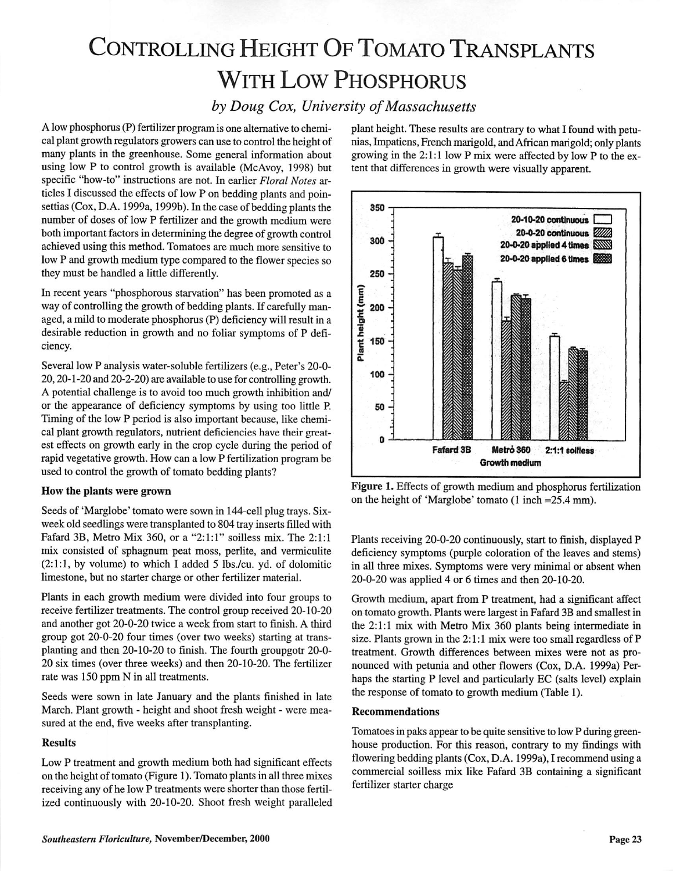# Controlling Height Of Tomato Transplants With Low Phosphorus

### **by** Doug Cox, University of Massachusetts

A low phosphorus (P) fertilizer program is one alternative to chemical plant growth regulators growers can use to control the height of many plants in the greenhouse. Some general information about using low P to control growth is available (McAvoy, 1998) but specific "how-to" instructions are not. In earlier **Floral Notes** ar ticles I discussed the effects of low P on bedding plants and poinsettias (Cox, D.A. 1999a, 1999b). In the case of bedding plants the number of doses of low P fertilizer and the growth medium were both important factors in determining the degree of growth control achieved using this method. Tomatoes are much more sensitive to low P and growth medium type compared to the flower species so they must be handled a little differently.

In recent years "phosphorous starvation" has been promoted as a way of controlling the growth of bedding plants. If carefully man aged, a mild to moderate phosphorus (P) deficiency will result in a desirable reduction in growth and no foliar symptoms of P defi ciency.

Several low P analysis water-soluble fertilizers (e.g., Peter's 20-0- 20,20-1 -20 and 20-2-20) are available to use for controlling growth. A potential challenge is to avoid too much growth inhibition and/ or the appearance of deficiency symptoms by using too little P. Timing of the low P period is also important because, like chemi cal plant growth regulators, nutrient deficiencies have their great est effects on growth early in the crop cycle during the period of rapid vegetative growth. How can a low P fertilization program be used to control the growth of tomato bedding plants?

#### How the plants were grown

Seeds of 'Marglobe' tomato were sown in 144-cell plug trays. Sixweek old seedlings were transplanted to 804 tray inserts filled with Fafard 3B, Metro Mix 360, or a "2:1:1" soilless mix. The 2:1:1 mix consisted of sphagnum peat moss, perlite, and vermiculite (2:1:1, by volume) to which I added 5 lbs./cu. yd. of dolomitic limestone, but no starter charge or other fertilizer material.

Plants in each growth medium were divided into four groups to receive fertilizer treatments. The control group received 20-10-20 and another got 20-0-20 twice a week from start to finish. A third group got 20-0-20 four times (over two weeks) starting at trans planting and then 20-10-20 to finish. The fourth groupgotr 20-0- 20 six times (over three weeks) and then 20-10-20. The fertilizer rate was 150 ppm N in all treatments.

Seeds were sown in late January and the plants finished in late March. Plant growth - height and shoot fresh weight - were mea sured at the end, five weeks after transplanting.

#### Results

Low P treatment and growth medium both had significant effects on the height of tomato (Figure 1).Tomato plants in all three mixes receiving any of he low P treatments were shorter than those fertil ized continuously with 20-10-20. Shoot fresh weight paralleled plant height. These results are contrary to what I found with petunias,Impatiens, Frenchmarigold, andAfricanmarigold; onlyplants growing in the 2:1:1 low P mix were affected by low P to the ex tent that differences in growth were visually apparent.



Figure 1. Effects of growth medium and phosphorus fertilization on the height of 'Marglobe' tomato (1 inch =25.4 mm).

Plants receiving 20-0-20 continuously, start to finish, displayed P deficiency symptoms (purple coloration of the leaves and stems) in all three mixes. Symptoms were very minimal or absent when 20-0-20 was applied 4 or 6 times and then 20-10-20.

Growth medium, apart from P treatment, had a significant affect on tomato growth. Plants were largest in Fafard 3B and smallest in the 2:1:1 mix with Metro Mix 360 plants being intermediate in size. Plants grown in the 2:1:1 mix were too small regardless of P treatment. Growth differences between mixes were not as pro nounced with petunia and other flowers (Cox, D.A. 1999a) Per haps the starting P level and particularly EC (salts level) explain the response of tomato to growth medium (Table 1).

#### Recommendations

Tomatoes in paks appear to be quite sensitive to low P during green house production. For this reason, contrary to my findings with flowering bedding plants (Cox, D.A. 1999a), I recommend using a commercial soilless mix like Fafard 3B containing a significant fertilizer starter charge